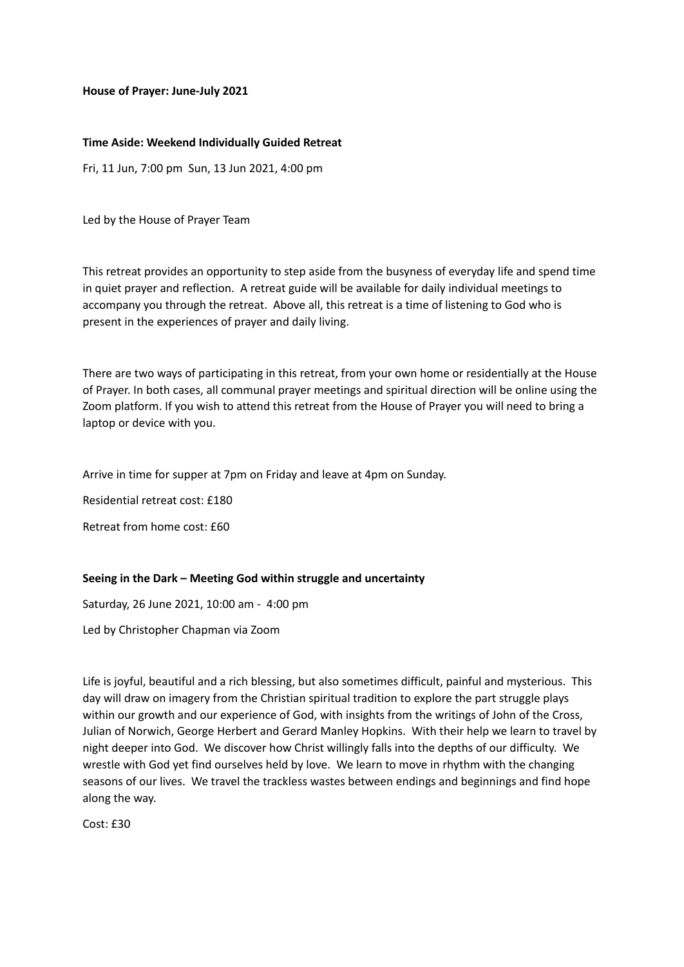#### **House of Prayer: June-July 2021**

#### **Time Aside: Weekend Individually Guided Retreat**

Fri, 11 Jun, 7:00 pm Sun, 13 Jun 2021, 4:00 pm

Led by the House of Prayer Team

This retreat provides an opportunity to step aside from the busyness of everyday life and spend time in quiet prayer and reflection. A retreat guide will be available for daily individual meetings to accompany you through the retreat. Above all, this retreat is a time of listening to God who is present in the experiences of prayer and daily living.

There are two ways of participating in this retreat, from your own home or residentially at the House of Prayer. In both cases, all communal prayer meetings and spiritual direction will be online using the Zoom platform. If you wish to attend this retreat from the House of Prayer you will need to bring a laptop or device with you.

Arrive in time for supper at 7pm on Friday and leave at 4pm on Sunday.

Residential retreat cost: £180

Retreat from home cost: £60

## **Seeing in the Dark – Meeting God within struggle and uncertainty**

Saturday, 26 June 2021, 10:00 am - 4:00 pm

Led by Christopher Chapman via Zoom

Life is joyful, beautiful and a rich blessing, but also sometimes difficult, painful and mysterious. This day will draw on imagery from the Christian spiritual tradition to explore the part struggle plays within our growth and our experience of God, with insights from the writings of John of the Cross, Julian of Norwich, George Herbert and Gerard Manley Hopkins. With their help we learn to travel by night deeper into God. We discover how Christ willingly falls into the depths of our difficulty. We wrestle with God yet find ourselves held by love. We learn to move in rhythm with the changing seasons of our lives. We travel the trackless wastes between endings and beginnings and find hope along the way.

 $Cost: f30$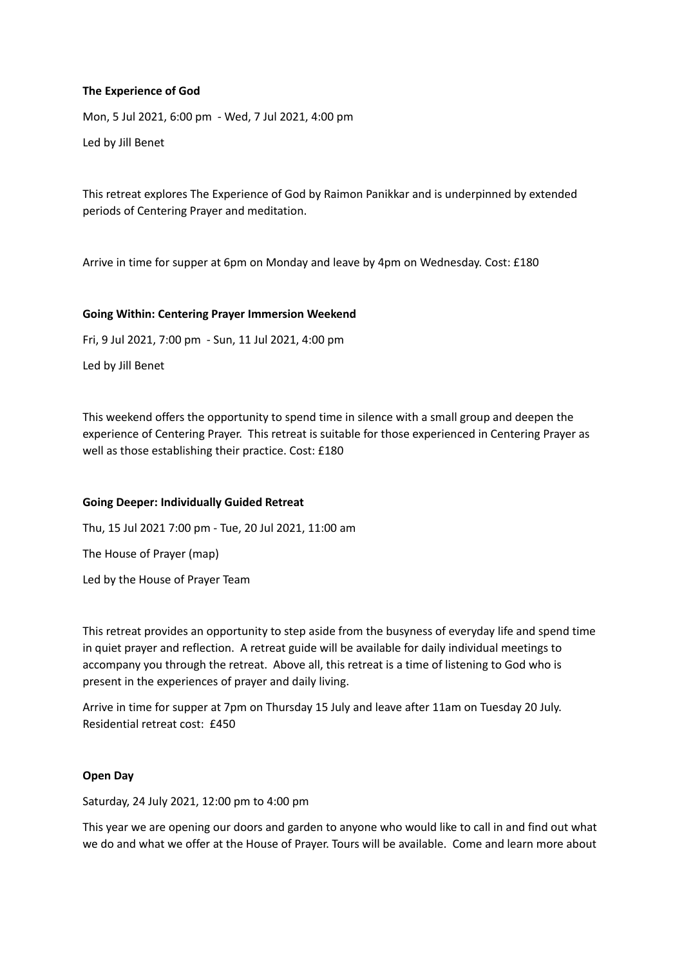## **The Experience of God**

Mon, 5 Jul 2021, 6:00 pm - Wed, 7 Jul 2021, 4:00 pm

Led by Jill Benet

This retreat explores The Experience of God by Raimon Panikkar and is underpinned by extended periods of Centering Prayer and meditation.

Arrive in time for supper at 6pm on Monday and leave by 4pm on Wednesday. Cost: £180

## **Going Within: Centering Prayer Immersion Weekend**

Fri, 9 Jul 2021, 7:00 pm - Sun, 11 Jul 2021, 4:00 pm

Led by Jill Benet

This weekend offers the opportunity to spend time in silence with a small group and deepen the experience of Centering Prayer. This retreat is suitable for those experienced in Centering Prayer as well as those establishing their practice. Cost: £180

## **Going Deeper: Individually Guided Retreat**

Thu, 15 Jul 2021 7:00 pm - Tue, 20 Jul 2021, 11:00 am The House of Prayer (map) Led by the House of Prayer Team

This retreat provides an opportunity to step aside from the busyness of everyday life and spend time in quiet prayer and reflection. A retreat guide will be available for daily individual meetings to accompany you through the retreat. Above all, this retreat is a time of listening to God who is present in the experiences of prayer and daily living.

Arrive in time for supper at 7pm on Thursday 15 July and leave after 11am on Tuesday 20 July. Residential retreat cost: £450

## **Open Day**

Saturday, 24 July 2021, 12:00 pm to 4:00 pm

This year we are opening our doors and garden to anyone who would like to call in and find out what we do and what we offer at the House of Prayer. Tours will be available. Come and learn more about